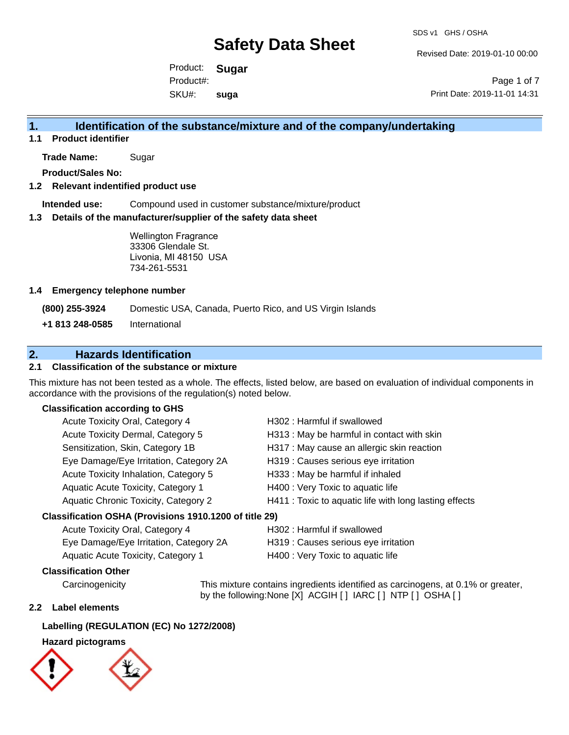Revised Date: 2019-01-10 00:00

Product: **Sugar**  SKU#: Product#: **suga**

Page 1 of 7 Print Date: 2019-11-01 14:31

### **1. Identification of the substance/mixture and of the company/undertaking**

**1.1 Product identifier**

**Trade Name:** Sugar

**Product/Sales No:**

#### **1.2 Relevant indentified product use**

**Intended use:** Compound used in customer substance/mixture/product

#### **1.3 Details of the manufacturer/supplier of the safety data sheet**

Wellington Fragrance 33306 Glendale St. Livonia, MI 48150 USA 734-261-5531

#### **1.4 Emergency telephone number**

**(800) 255-3924** Domestic USA, Canada, Puerto Rico, and US Virgin Islands

**+1 813 248-0585** International

## **2. Hazards Identification**

#### **2.1 Classification of the substance or mixture**

This mixture has not been tested as a whole. The effects, listed below, are based on evaluation of individual components in accordance with the provisions of the regulation(s) noted below.

#### **Classification according to GHS**

| Acute Toxicity Oral, Category 4                     | H302: Harmful if swallowed                             |
|-----------------------------------------------------|--------------------------------------------------------|
| Acute Toxicity Dermal, Category 5                   | H313: May be harmful in contact with skin              |
| Sensitization, Skin, Category 1B                    | H317 : May cause an allergic skin reaction             |
| Eye Damage/Eye Irritation, Category 2A              | H319 : Causes serious eye irritation                   |
| Acute Toxicity Inhalation, Category 5               | H333: May be harmful if inhaled                        |
| Aquatic Acute Toxicity, Category 1                  | H400 : Very Toxic to aquatic life                      |
| Aquatic Chronic Toxicity, Category 2                | H411 : Toxic to aquatic life with long lasting effects |
| ssification OSHA (Provisions 1910 1200 of title 29) |                                                        |

#### **Classification OSHA (Provisions 1910.1200 of title 29)**

| Acute Toxicity Oral, Category 4        | H302 : Harmful if swallowed          |
|----------------------------------------|--------------------------------------|
| Eye Damage/Eye Irritation, Category 2A | H319 : Causes serious eye irritation |
| Aquatic Acute Toxicity, Category 1     | H400 : Very Toxic to aquatic life    |

#### **Classification Other**

Carcinogenicity This mixture contains ingredients identified as carcinogens, at 0.1% or greater, by the following:None [X] ACGIH [ ] IARC [ ] NTP [ ] OSHA [ ]

#### **2.2 Label elements**

#### **Labelling (REGULATION (EC) No 1272/2008)**

#### **Hazard pictograms**

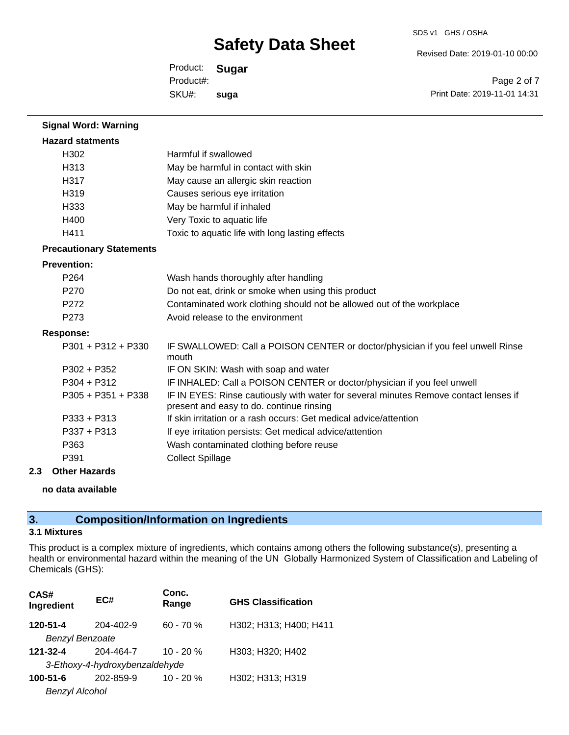SDS v1 GHS / OSHA

Revised Date: 2019-01-10 00:00

Product: **Sugar**  SKU#: Product#: **suga**

Page 2 of 7 Print Date: 2019-11-01 14:31

| <b>Signal Word: Warning</b>     |                                                                                                                                  |
|---------------------------------|----------------------------------------------------------------------------------------------------------------------------------|
| <b>Hazard statments</b>         |                                                                                                                                  |
| H302                            | Harmful if swallowed                                                                                                             |
| H313                            | May be harmful in contact with skin                                                                                              |
| H317                            | May cause an allergic skin reaction                                                                                              |
| H319                            | Causes serious eye irritation                                                                                                    |
| H333                            | May be harmful if inhaled                                                                                                        |
| H400                            | Very Toxic to aquatic life                                                                                                       |
| H411                            | Toxic to aquatic life with long lasting effects                                                                                  |
| <b>Precautionary Statements</b> |                                                                                                                                  |
| <b>Prevention:</b>              |                                                                                                                                  |
| P <sub>264</sub>                | Wash hands thoroughly after handling                                                                                             |
| P <sub>270</sub>                | Do not eat, drink or smoke when using this product                                                                               |
| P272                            | Contaminated work clothing should not be allowed out of the workplace                                                            |
| P273                            | Avoid release to the environment                                                                                                 |
| <b>Response:</b>                |                                                                                                                                  |
| $P301 + P312 + P330$            | IF SWALLOWED: Call a POISON CENTER or doctor/physician if you feel unwell Rinse<br>mouth                                         |
| P302 + P352                     | IF ON SKIN: Wash with soap and water                                                                                             |
| $P304 + P312$                   | IF INHALED: Call a POISON CENTER or doctor/physician if you feel unwell                                                          |
| $P305 + P351 + P338$            | IF IN EYES: Rinse cautiously with water for several minutes Remove contact lenses if<br>present and easy to do. continue rinsing |
| $P333 + P313$                   | If skin irritation or a rash occurs: Get medical advice/attention                                                                |
| $P337 + P313$                   | If eye irritation persists: Get medical advice/attention                                                                         |
| P363                            | Wash contaminated clothing before reuse                                                                                          |
| P391                            | <b>Collect Spillage</b>                                                                                                          |

#### **2.3 Other Hazards**

#### **no data available**

## **3. Composition/Information on Ingredients**

### **3.1 Mixtures**

This product is a complex mixture of ingredients, which contains among others the following substance(s), presenting a health or environmental hazard within the meaning of the UN Globally Harmonized System of Classification and Labeling of Chemicals (GHS):

| CAS#<br>Ingredient             | EC#       | Conc.<br>Range | <b>GHS Classification</b> |
|--------------------------------|-----------|----------------|---------------------------|
| 120-51-4                       | 204-402-9 | $60 - 70%$     | H302; H313; H400; H411    |
| <b>Benzyl Benzoate</b>         |           |                |                           |
| $121 - 32 - 4$                 | 204-464-7 | $10 - 20 %$    | H303; H320; H402          |
| 3-Ethoxy-4-hydroxybenzaldehyde |           |                |                           |
| $100 - 51 - 6$                 | 202-859-9 | $10 - 20%$     | H302; H313; H319          |
| <b>Benzyl Alcohol</b>          |           |                |                           |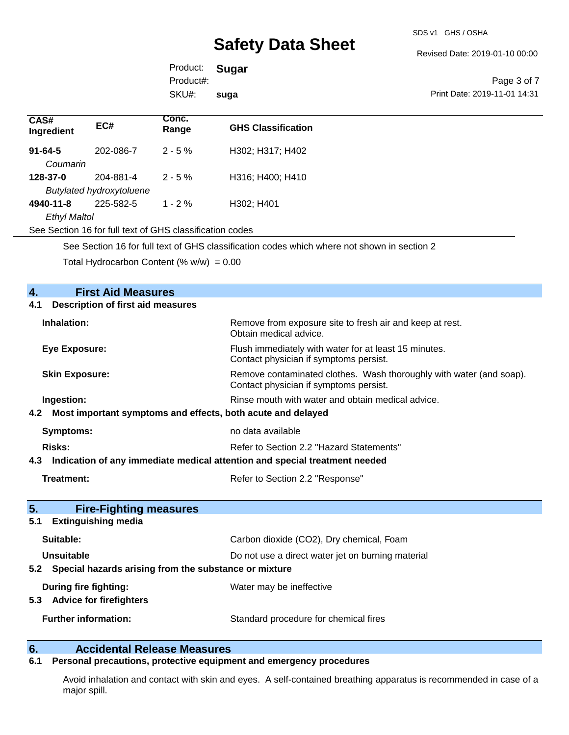Revised Date: 2019-01-10 00:00

Product: **Sugar**  SKU#: Product#: **suga**

Page 3 of 7 Print Date: 2019-11-01 14:31

| CAS#<br>Ingredient  | EC#                                                      | Conc.<br>Range | <b>GHS Classification</b> |
|---------------------|----------------------------------------------------------|----------------|---------------------------|
| $91 - 64 - 5$       | 202-086-7                                                | $2 - 5%$       | H302; H317; H402          |
| Coumarin            |                                                          |                |                           |
| 128-37-0            | 204-881-4                                                | $2 - 5 \%$     | H316; H400; H410          |
|                     | <b>Butylated hydroxytoluene</b>                          |                |                           |
| 4940-11-8           | 225-582-5                                                | $1 - 2 \%$     | H302; H401                |
| <b>Ethyl Maltol</b> |                                                          |                |                           |
|                     | See Section 16 for full text of GHS classification codes |                |                           |

See Section 16 for full text of GHS classification codes which where not shown in section 2

Total Hydrocarbon Content (%  $w/w$ ) = 0.00

| 4.<br><b>First Aid Measures</b>                                                |                                                                                                               |
|--------------------------------------------------------------------------------|---------------------------------------------------------------------------------------------------------------|
| <b>Description of first aid measures</b><br>4.1                                |                                                                                                               |
| Inhalation:                                                                    | Remove from exposure site to fresh air and keep at rest.<br>Obtain medical advice.                            |
| <b>Eye Exposure:</b>                                                           | Flush immediately with water for at least 15 minutes.<br>Contact physician if symptoms persist.               |
| <b>Skin Exposure:</b>                                                          | Remove contaminated clothes. Wash thoroughly with water (and soap).<br>Contact physician if symptoms persist. |
| Ingestion:                                                                     | Rinse mouth with water and obtain medical advice.                                                             |
| 4.2 Most important symptoms and effects, both acute and delayed                |                                                                                                               |
| Symptoms:                                                                      | no data available                                                                                             |
| <b>Risks:</b>                                                                  | Refer to Section 2.2 "Hazard Statements"                                                                      |
| 4.3 Indication of any immediate medical attention and special treatment needed |                                                                                                               |
| <b>Treatment:</b>                                                              | Refer to Section 2.2 "Response"                                                                               |
| 5 <sub>1</sub><br><b>Fire-Fighting measures</b>                                |                                                                                                               |
| 5.1<br><b>Extinguishing media</b>                                              |                                                                                                               |
| Suitable:                                                                      | Carbon dioxide (CO2), Dry chemical, Foam                                                                      |
| Unsuitable                                                                     | Do not use a direct water jet on burning material                                                             |
| 5.2 Special hazards arising from the substance or mixture                      |                                                                                                               |
| During fire fighting:<br>5.3 Advice for firefighters                           | Water may be ineffective                                                                                      |
| <b>Further information:</b>                                                    | Standard procedure for chemical fires                                                                         |

# **6. Calcidental Release Measures**<br>**6.1** Personal precautions, protective equipm

### **6.1 Personal precautions, protective equipment and emergency procedures**

Avoid inhalation and contact with skin and eyes. A self-contained breathing apparatus is recommended in case of a major spill.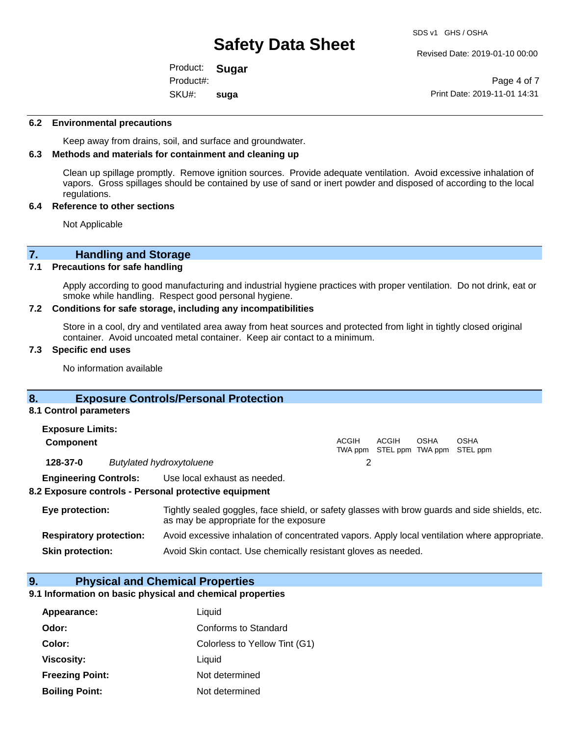SDS v1 GHS / OSHA

SKU#: **suga**

Product: **Sugar** 

Revised Date: 2019-01-10 00:00

Page 4 of 7 Print Date: 2019-11-01 14:31

#### **6.2 Environmental precautions**

Keep away from drains, soil, and surface and groundwater.

Product#:

### **6.3 Methods and materials for containment and cleaning up**

Clean up spillage promptly. Remove ignition sources. Provide adequate ventilation. Avoid excessive inhalation of vapors. Gross spillages should be contained by use of sand or inert powder and disposed of according to the local regulations.

#### **6.4 Reference to other sections**

Not Applicable

# **7. Handling and Storage**<br>**7.1** Precautions for safe handling

#### **Precautions for safe handling**

Apply according to good manufacturing and industrial hygiene practices with proper ventilation. Do not drink, eat or smoke while handling. Respect good personal hygiene.

#### **7.2 Conditions for safe storage, including any incompatibilities**

Store in a cool, dry and ventilated area away from heat sources and protected from light in tightly closed original container. Avoid uncoated metal container. Keep air contact to a minimum.

#### **7.3 Specific end uses**

No information available

#### **8. Exposure Controls/Personal Protection**

#### **8.1 Control parameters**

| <b>Exposure Limits:</b>      |                                 |       |                                            |             |      |
|------------------------------|---------------------------------|-------|--------------------------------------------|-------------|------|
| <b>Component</b>             |                                 | ACGIH | ACGIH<br>TWA ppm STEL ppm TWA ppm STEL ppm | <b>OSHA</b> | OSHA |
| 128-37-0                     | <b>Butylated hydroxytoluene</b> |       |                                            |             |      |
| <b>Engineering Controls:</b> | Use local exhaust as needed.    |       |                                            |             |      |
|                              |                                 |       |                                            |             |      |

#### **8.2 Exposure controls - Personal protective equipment**

| Eye protection:                | Tightly sealed goggles, face shield, or safety glasses with brow guards and side shields, etc.<br>as may be appropriate for the exposure |
|--------------------------------|------------------------------------------------------------------------------------------------------------------------------------------|
| <b>Respiratory protection:</b> | Avoid excessive inhalation of concentrated vapors. Apply local ventilation where appropriate.                                            |
| <b>Skin protection:</b>        | Avoid Skin contact. Use chemically resistant gloves as needed.                                                                           |

#### **9. Physical and Chemical Properties**

#### **9.1 Information on basic physical and chemical properties**

| Appearance:            | Liquid                        |
|------------------------|-------------------------------|
| Odor:                  | Conforms to Standard          |
| Color:                 | Colorless to Yellow Tint (G1) |
| <b>Viscosity:</b>      | Liquid                        |
| <b>Freezing Point:</b> | Not determined                |
| <b>Boiling Point:</b>  | Not determined                |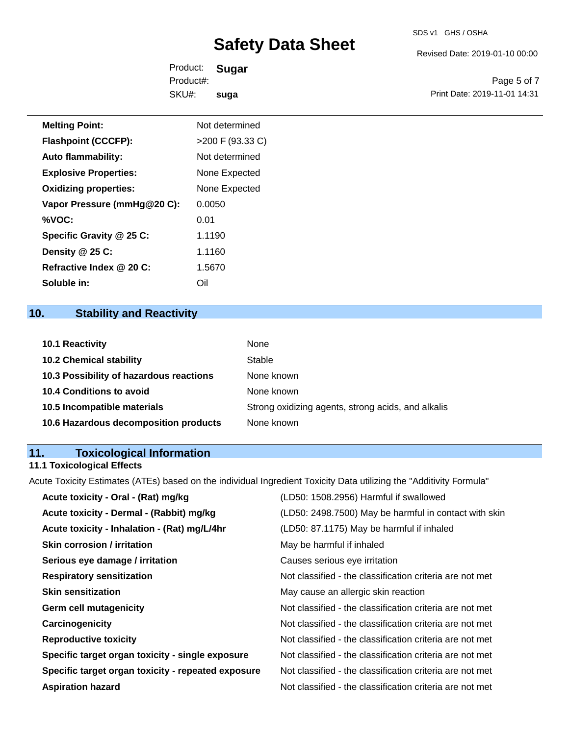Revised Date: 2019-01-10 00:00

Product: **Sugar**  SKU#: Product#: **suga**

Page 5 of 7 Print Date: 2019-11-01 14:31

| <b>Melting Point:</b>        | Not determined     |
|------------------------------|--------------------|
| <b>Flashpoint (CCCFP):</b>   | $>200$ F (93.33 C) |
| <b>Auto flammability:</b>    | Not determined     |
| <b>Explosive Properties:</b> | None Expected      |
| <b>Oxidizing properties:</b> | None Expected      |
| Vapor Pressure (mmHg@20 C):  | 0.0050             |
| %VOC:                        | 0.01               |
| Specific Gravity @ 25 C:     | 1.1190             |
| Density @ 25 C:              | 1.1160             |
| Refractive Index @ 20 C:     | 1.5670             |

# **10. Stability and Reactivity**

**Soluble in:** Oil

| <b>10.1 Reactivity</b>                  | None                                               |
|-----------------------------------------|----------------------------------------------------|
| <b>10.2 Chemical stability</b>          | Stable                                             |
| 10.3 Possibility of hazardous reactions | None known                                         |
| <b>10.4 Conditions to avoid</b>         | None known                                         |
| 10.5 Incompatible materials             | Strong oxidizing agents, strong acids, and alkalis |
| 10.6 Hazardous decomposition products   | None known                                         |

# **11. Toxicological Information**

## **11.1 Toxicological Effects**

Acute Toxicity Estimates (ATEs) based on the individual Ingredient Toxicity Data utilizing the "Additivity Formula"

| Acute toxicity - Oral - (Rat) mg/kg                | (LD50: 1508.2956) Harmful if swallowed                   |
|----------------------------------------------------|----------------------------------------------------------|
| Acute toxicity - Dermal - (Rabbit) mg/kg           | (LD50: 2498.7500) May be harmful in contact with skin    |
| Acute toxicity - Inhalation - (Rat) mg/L/4hr       | (LD50: 87.1175) May be harmful if inhaled                |
| <b>Skin corrosion / irritation</b>                 | May be harmful if inhaled                                |
| Serious eye damage / irritation                    | Causes serious eye irritation                            |
| <b>Respiratory sensitization</b>                   | Not classified - the classification criteria are not met |
| <b>Skin sensitization</b>                          | May cause an allergic skin reaction                      |
| <b>Germ cell mutagenicity</b>                      | Not classified - the classification criteria are not met |
| Carcinogenicity                                    | Not classified - the classification criteria are not met |
| <b>Reproductive toxicity</b>                       | Not classified - the classification criteria are not met |
| Specific target organ toxicity - single exposure   | Not classified - the classification criteria are not met |
| Specific target organ toxicity - repeated exposure | Not classified - the classification criteria are not met |
| <b>Aspiration hazard</b>                           | Not classified - the classification criteria are not met |
|                                                    |                                                          |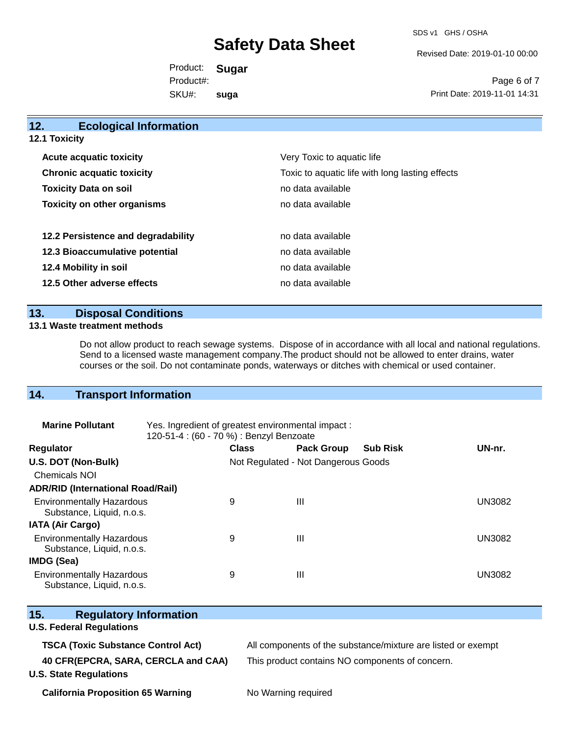SDS v1 GHS / OSHA

Revised Date: 2019-01-10 00:00

Product: **Sugar**  SKU#: Product#: **suga**

Page 6 of 7 Print Date: 2019-11-01 14:31

| <b>Ecological Information</b><br>12. |                                                                                                    |  |  |  |  |  |
|--------------------------------------|----------------------------------------------------------------------------------------------------|--|--|--|--|--|
| 12.1 Toxicity                        |                                                                                                    |  |  |  |  |  |
| <b>Acute acquatic toxicity</b>       | Very Toxic to aquatic life<br>Toxic to aquatic life with long lasting effects<br>no data available |  |  |  |  |  |
| <b>Chronic acquatic toxicity</b>     |                                                                                                    |  |  |  |  |  |
| <b>Toxicity Data on soil</b>         |                                                                                                    |  |  |  |  |  |
| <b>Toxicity on other organisms</b>   | no data available                                                                                  |  |  |  |  |  |
| 12.2 Persistence and degradability   | no data available                                                                                  |  |  |  |  |  |
| 12.3 Bioaccumulative potential       | no data available                                                                                  |  |  |  |  |  |
| 12.4 Mobility in soil                | no data available                                                                                  |  |  |  |  |  |
| 12.5 Other adverse effects           | no data available                                                                                  |  |  |  |  |  |
|                                      |                                                                                                    |  |  |  |  |  |

## **13. Disposal Conditions**

#### **13.1 Waste treatment methods**

Do not allow product to reach sewage systems. Dispose of in accordance with all local and national regulations. Send to a licensed waste management company.The product should not be allowed to enter drains, water courses or the soil. Do not contaminate ponds, waterways or ditches with chemical or used container.

## **14. Transport Information**

| <b>Marine Pollutant</b>                                       | Yes. Ingredient of greatest environmental impact:<br>120-51-4 : (60 - 70 %) : Benzyl Benzoate |              |                                     |                 |               |
|---------------------------------------------------------------|-----------------------------------------------------------------------------------------------|--------------|-------------------------------------|-----------------|---------------|
| <b>Regulator</b>                                              |                                                                                               | <b>Class</b> | <b>Pack Group</b>                   | <b>Sub Risk</b> | UN-nr.        |
| U.S. DOT (Non-Bulk)                                           |                                                                                               |              | Not Regulated - Not Dangerous Goods |                 |               |
| <b>Chemicals NOI</b>                                          |                                                                                               |              |                                     |                 |               |
| <b>ADR/RID (International Road/Rail)</b>                      |                                                                                               |              |                                     |                 |               |
| <b>Environmentally Hazardous</b><br>Substance, Liquid, n.o.s. |                                                                                               | 9            | Ш                                   |                 | UN3082        |
| <b>IATA (Air Cargo)</b>                                       |                                                                                               |              |                                     |                 |               |
| <b>Environmentally Hazardous</b><br>Substance, Liquid, n.o.s. |                                                                                               | 9            | Ш                                   |                 | <b>UN3082</b> |
| <b>IMDG (Sea)</b>                                             |                                                                                               |              |                                     |                 |               |
| <b>Environmentally Hazardous</b><br>Substance, Liquid, n.o.s. |                                                                                               | 9            | Ш                                   |                 | <b>UN3082</b> |

| 15.<br><b>Regulatory Information</b>      |                                                              |
|-------------------------------------------|--------------------------------------------------------------|
| <b>U.S. Federal Regulations</b>           |                                                              |
| <b>TSCA (Toxic Substance Control Act)</b> | All components of the substance/mixture are listed or exempt |
| 40 CFR(EPCRA, SARA, CERCLA and CAA)       | This product contains NO components of concern.              |
| <b>U.S. State Regulations</b>             |                                                              |
| <b>California Proposition 65 Warning</b>  | No Warning required                                          |